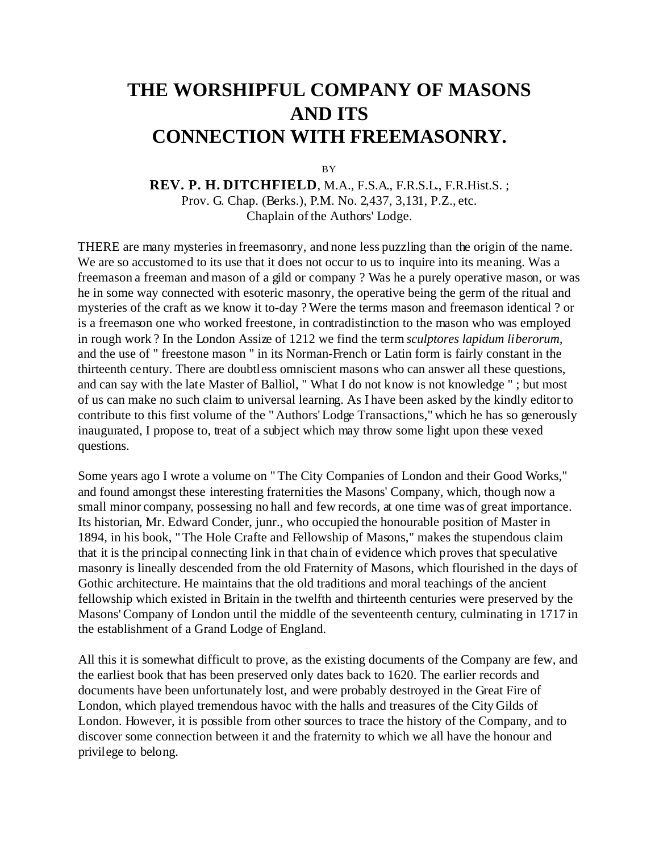## **THE WORSHIPFUL COMPANY OF MASONS AND ITS CONNECTION WITH FREEMASONRY.**

**BY** 

**REV. P. H. DITCHFIELD**, M.A., F.S.A., F.R.S.L., F.R.Hist.S. ; Prov. G. Chap. (Berks.), P.M. No. 2,437, 3,131, P.Z., etc. Chaplain of the Authors' Lodge.

THERE are many mysteries in freemasonry, and none less puzzling than the origin of the name. We are so accustomed to its use that it does not occur to us to inquire into its meaning. Was a freemason a freeman and mason of a gild or company ? Was he a purely operative mason, or was he in some way connected with esoteric masonry, the operative being the germ of the ritual and mysteries of the craft as we know it to-day ? Were the terms mason and freemason identical ? or is a freemason one who worked freestone, in contradistinction to the mason who was employed in rough work ? In the London Assize of 1212 we find the term *sculptores lapidum liberorum,* and the use of " freestone mason " in its Norman-French or Latin form is fairly constant in the thirteenth century. There are doubtless omniscient masons who can answer all these questions, and can say with the late Master of Balliol, " What I do not know is not knowledge " ; but most of us can make no such claim to universal learning. As I have been asked by the kindly editor to contribute to this first volume of the " Authors' Lodge Transactions," which he has so generously inaugurated, I propose to, treat of a subject which may throw some light upon these vexed questions.

Some years ago I wrote a volume on " The City Companies of London and their Good Works," and found amongst these interesting fraternities the Masons' Company, which, though now a small minor company, possessing no hall and few records, at one time was of great importance. Its historian, Mr. Edward Conder, junr., who occupied the honourable position of Master in 1894, in his book, " The Hole Crafte and Fellowship of Masons," makes the stupendous claim that it is the principal connecting link in that chain of evidence which proves that speculative masonry is lineally descended from the old Fraternity of Masons, which flourished in the days of Gothic architecture. He maintains that the old traditions and moral teachings of the ancient fellowship which existed in Britain in the twelfth and thirteenth centuries were preserved by the Masons' Company of London until the middle of the seventeenth century, culminating in 1717 in the establishment of a Grand Lodge of England.

All this it is somewhat difficult to prove, as the existing documents of the Company are few, and the earliest book that has been preserved only dates back to 1620. The earlier records and documents have been unfortunately lost, and were probably destroyed in the Great Fire of London, which played tremendous havoc with the halls and treasures of the City Gilds of London. However, it is possible from other sources to trace the history of the Company, and to discover some connection between it and the fraternity to which we all have the honour and privilege to belong.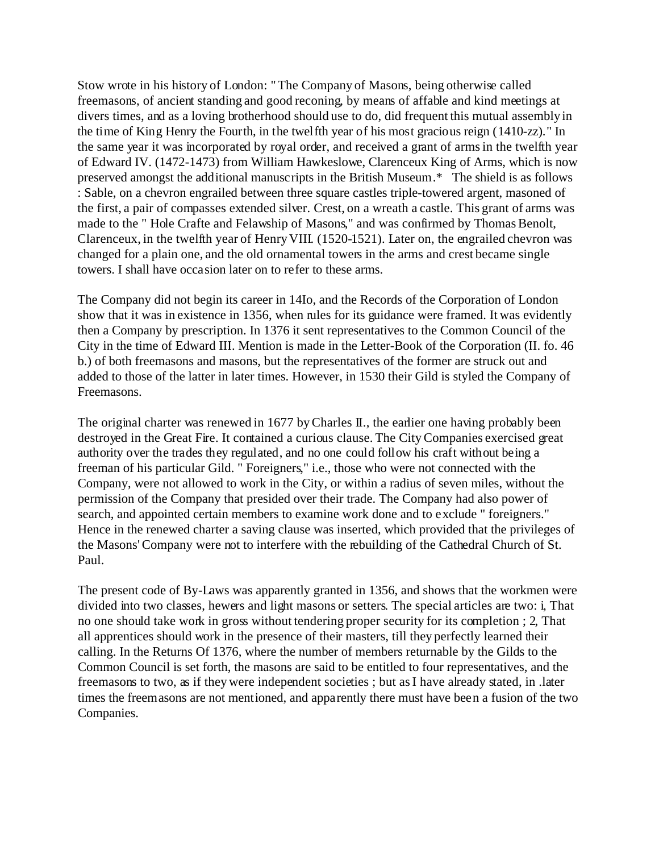Stow wrote in his history of London: " The Company of Masons, being otherwise called freemasons, of ancient standing and good reconing, by means of affable and kind meetings at divers times, and as a loving brotherhood should use to do, did frequent this mutual assembly in the time of King Henry the Fourth, in the twelfth year of his most gracious reign (1410-zz)." In the same year it was incorporated by royal order, and received a grant of arms in the twelfth year of Edward IV. (1472-1473) from William Hawkeslowe, Clarenceux King of Arms, which is now preserved amongst the additional manuscripts in the British Museum.\* The shield is as follows : Sable, on a chevron engrailed between three square castles triple-towered argent, masoned of the first, a pair of compasses extended silver. Crest, on a wreath a castle. This grant of arms was made to the " Hole Crafte and Felawship of Masons," and was confirmed by Thomas Benolt, Clarenceux, in the twelfth year of Henry VIII. (1520-1521). Later on, the engrailed chevron was changed for a plain one, and the old ornamental towers in the arms and crest became single towers. I shall have occasion later on to refer to these arms.

The Company did not begin its career in 14Io, and the Records of the Corporation of London show that it was in existence in 1356, when rules for its guidance were framed. It was evidently then a Company by prescription. In 1376 it sent representatives to the Common Council of the City in the time of Edward III. Mention is made in the Letter-Book of the Corporation (II. fo. 46 b.) of both freemasons and masons, but the representatives of the former are struck out and added to those of the latter in later times. However, in 1530 their Gild is styled the Company of Freemasons.

The original charter was renewed in 1677 by Charles II., the earlier one having probably been destroyed in the Great Fire. It contained a curious clause. The City Companies exercised great authority over the trades they regulated, and no one could follow his craft without being a freeman of his particular Gild. " Foreigners," i.e., those who were not connected with the Company, were not allowed to work in the City, or within a radius of seven miles, without the permission of the Company that presided over their trade. The Company had also power of search, and appointed certain members to examine work done and to exclude " foreigners." Hence in the renewed charter a saving clause was inserted, which provided that the privileges of the Masons' Company were not to interfere with the rebuilding of the Cathedral Church of St. Paul.

The present code of By-Laws was apparently granted in 1356, and shows that the workmen were divided into two classes, hewers and light masons or setters. The special articles are two: i, That no one should take work in gross without tendering proper security for its completion ; 2, That all apprentices should work in the presence of their masters, till they perfectly learned their calling. In the Returns Of 1376, where the number of members returnable by the Gilds to the Common Council is set forth, the masons are said to be entitled to four representatives, and the freemasons to two, as if they were independent societies ; but as I have already stated, in .later times the freemasons are not mentioned, and apparently there must have been a fusion of the two Companies.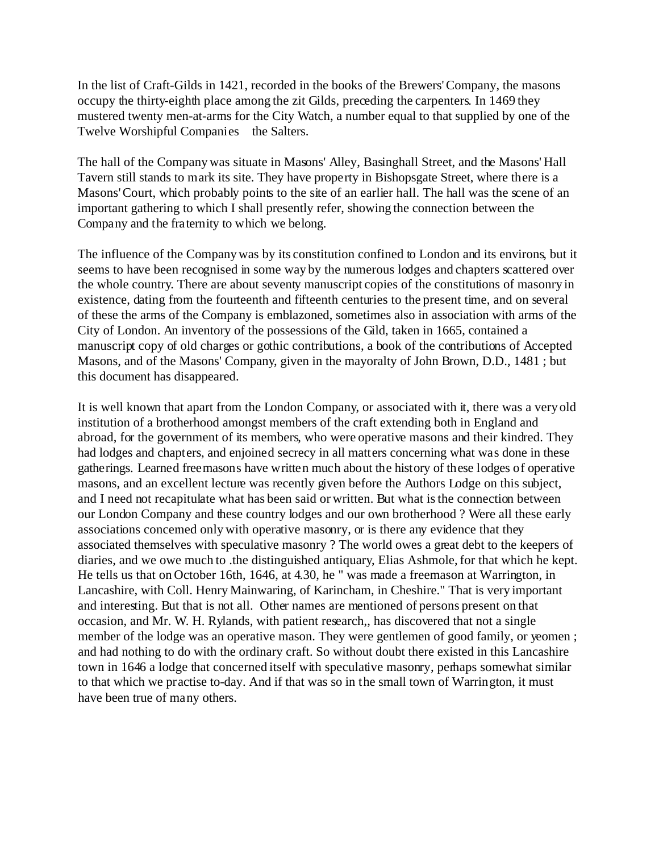In the list of Craft-Gilds in 1421, recorded in the books of the Brewers' Company, the masons occupy the thirty-eighth place among the zit Gilds, preceding the carpenters. In 1469 they mustered twenty men-at-arms for the City Watch, a number equal to that supplied by one of the Twelve Worshipful Companies the Salters.

The hall of the Company was situate in Masons' Alley, Basinghall Street, and the Masons' Hall Tavern still stands to mark its site. They have property in Bishopsgate Street, where there is a Masons' Court, which probably points to the site of an earlier hall. The hall was the scene of an important gathering to which I shall presently refer, showing the connection between the Company and the fraternity to which we belong.

The influence of the Company was by its constitution confined to London and its environs, but it seems to have been recognised in some way by the numerous lodges and chapters scattered over the whole country. There are about seventy manuscript copies of the constitutions of masonry in existence, dating from the fourteenth and fifteenth centuries to the present time, and on several of these the arms of the Company is emblazoned, sometimes also in association with arms of the City of London. An inventory of the possessions of the Gild, taken in 1665, contained a manuscript copy of old charges or gothic contributions, a book of the contributions of Accepted Masons, and of the Masons' Company, given in the mayoralty of John Brown, D.D., 1481 ; but this document has disappeared.

It is well known that apart from the London Company, or associated with it, there was a very old institution of a brotherhood amongst members of the craft extending both in England and abroad, for the government of its members, who were operative masons and their kindred. They had lodges and chapters, and enjoined secrecy in all matters concerning what was done in these gatherings. Learned freemasons have written much about the history of these lodges of operative masons, and an excellent lecture was recently given before the Authors Lodge on this subject, and I need not recapitulate what has been said or written. But what is the connection between our London Company and these country lodges and our own brotherhood ? Were all these early associations concerned only with operative masonry, or is there any evidence that they associated themselves with speculative masonry ? The world owes a great debt to the keepers of diaries, and we owe much to .the distinguished antiquary, Elias Ashmole, for that which he kept. He tells us that on October 16th, 1646, at 4.30, he " was made a freemason at Warrington, in Lancashire, with Coll. Henry Mainwaring, of Karincham, in Cheshire." That is very important and interesting. But that is not all. Other names are mentioned of persons present on that occasion, and Mr. W. H. Rylands, with patient research,, has discovered that not a single member of the lodge was an operative mason. They were gentlemen of good family, or yeomen ; and had nothing to do with the ordinary craft. So without doubt there existed in this Lancashire town in 1646 a lodge that concerned itself with speculative masonry, perhaps somewhat similar to that which we practise to-day. And if that was so in the small town of Warrington, it must have been true of many others.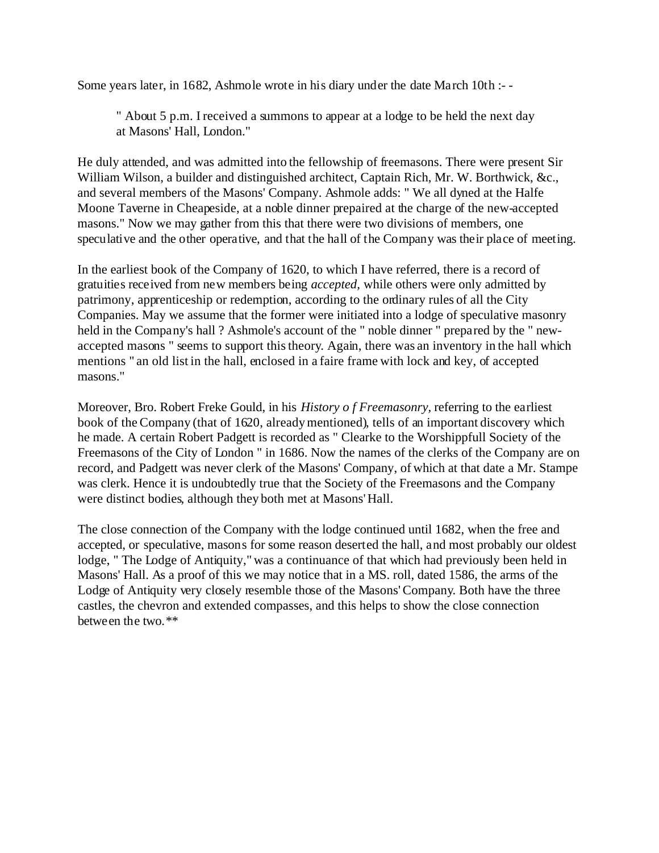Some years later, in 1682, Ashmole wrote in his diary under the date March 10th :- -

" About 5 p.m. I received a summons to appear at a lodge to be held the next day at Masons' Hall, London."

He duly attended, and was admitted into the fellowship of freemasons. There were present Sir William Wilson, a builder and distinguished architect, Captain Rich, Mr. W. Borthwick, &c., and several members of the Masons' Company. Ashmole adds: " We all dyned at the Halfe Moone Taverne in Cheapeside, at a noble dinner prepaired at the charge of the new-accepted masons." Now we may gather from this that there were two divisions of members, one speculative and the other operative, and that the hall of the Company was their place of meeting.

In the earliest book of the Company of 1620, to which I have referred, there is a record of gratuities received from new members being *accepted,* while others were only admitted by patrimony, apprenticeship or redemption, according to the ordinary rules of all the City Companies. May we assume that the former were initiated into a lodge of speculative masonry held in the Company's hall ? Ashmole's account of the " noble dinner " prepared by the " newaccepted masons " seems to support this theory. Again, there was an inventory in the hall which mentions " an old list in the hall, enclosed in a faire frame with lock and key, of accepted masons."

Moreover, Bro. Robert Freke Gould, in his *History o f Freemasonry,* referring to the earliest book of the Company (that of 1620, already mentioned), tells of an important discovery which he made. A certain Robert Padgett is recorded as " Clearke to the Worshippfull Society of the Freemasons of the City of London " in 1686. Now the names of the clerks of the Company are on record, and Padgett was never clerk of the Masons' Company, of which at that date a Mr. Stampe was clerk. Hence it is undoubtedly true that the Society of the Freemasons and the Company were distinct bodies, although they both met at Masons' Hall.

The close connection of the Company with the lodge continued until 1682, when the free and accepted, or speculative, masons for some reason deserted the hall, and most probably our oldest lodge, " The Lodge of Antiquity," was a continuance of that which had previously been held in Masons' Hall. As a proof of this we may notice that in a MS. roll, dated 1586, the arms of the Lodge of Antiquity very closely resemble those of the Masons' Company. Both have the three castles, the chevron and extended compasses, and this helps to show the close connection between the two.\*\*